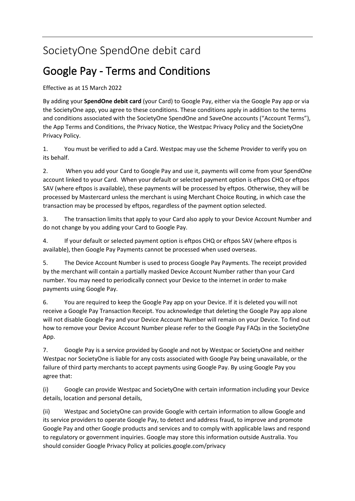## SocietyOne SpendOne debit card

## Google Pay - Terms and Conditions

Effective as at 15 March 2022

By adding your **SpendOne debit card** (your Card) to Google Pay, either via the Google Pay app or via the SocietyOne app, you agree to these conditions. These conditions apply in addition to the terms and conditions associated with the SocietyOne SpendOne and SaveOne accounts ("Account Terms"), the App Terms and Conditions, the Privacy Notice, the Westpac Privacy Policy and the SocietyOne Privacy Policy.

1. You must be verified to add a Card. Westpac may use the Scheme Provider to verify you on its behalf.

2. When you add your Card to Google Pay and use it, payments will come from your SpendOne account linked to your Card. When your default or selected payment option is eftpos CHQ or eftpos SAV (where eftpos is available), these payments will be processed by eftpos. Otherwise, they will be processed by Mastercard unless the merchant is using Merchant Choice Routing, in which case the transaction may be processed by eftpos, regardless of the payment option selected.

3. The transaction limits that apply to your Card also apply to your Device Account Number and do not change by you adding your Card to Google Pay.

4. If your default or selected payment option is eftpos CHQ or eftpos SAV (where eftpos is available), then Google Pay Payments cannot be processed when used overseas.

5. The Device Account Number is used to process Google Pay Payments. The receipt provided by the merchant will contain a partially masked Device Account Number rather than your Card number. You may need to periodically connect your Device to the internet in order to make payments using Google Pay.

6. You are required to keep the Google Pay app on your Device. If it is deleted you will not receive a Google Pay Transaction Receipt. You acknowledge that deleting the Google Pay app alone will not disable Google Pay and your Device Account Number will remain on your Device. To find out how to remove your Device Account Number please refer to the Google Pay FAQs in the SocietyOne App.

7. Google Pay is a service provided by Google and not by Westpac or SocietyOne and neither Westpac nor SocietyOne is liable for any costs associated with Google Pay being unavailable, or the failure of third party merchants to accept payments using Google Pay. By using Google Pay you agree that:

(i) Google can provide Westpac and SocietyOne with certain information including your Device details, location and personal details,

(ii) Westpac and SocietyOne can provide Google with certain information to allow Google and its service providers to operate Google Pay, to detect and address fraud, to improve and promote Google Pay and other Google products and services and to comply with applicable laws and respond to regulatory or government inquiries. Google may store this information outside Australia. You should consider Google Privacy Policy at policies.google.com/privacy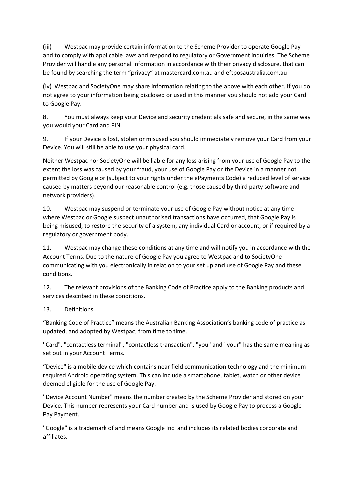(iii) Westpac may provide certain information to the Scheme Provider to operate Google Pay and to comply with applicable laws and respond to regulatory or Government inquiries. The Scheme Provider will handle any personal information in accordance with their privacy disclosure, that can be found by searching the term "privacy" at mastercard.com.au and eftposaustralia.com.au

(iv) Westpac and SocietyOne may share information relating to the above with each other. If you do not agree to your information being disclosed or used in this manner you should not add your Card to Google Pay.

8. You must always keep your Device and security credentials safe and secure, in the same way you would your Card and PIN.

9. If your Device is lost, stolen or misused you should immediately remove your Card from your Device. You will still be able to use your physical card.

Neither Westpac nor SocietyOne will be liable for any loss arising from your use of Google Pay to the extent the loss was caused by your fraud, your use of Google Pay or the Device in a manner not permitted by Google or (subject to your rights under the ePayments Code) a reduced level of service caused by matters beyond our reasonable control (e.g. those caused by third party software and network providers).

10. Westpac may suspend or terminate your use of Google Pay without notice at any time where Westpac or Google suspect unauthorised transactions have occurred, that Google Pay is being misused, to restore the security of a system, any individual Card or account, or if required by a regulatory or government body.

11. Westpac may change these conditions at any time and will notify you in accordance with the Account Terms. Due to the nature of Google Pay you agree to Westpac and to SocietyOne communicating with you electronically in relation to your set up and use of Google Pay and these conditions.

12. The relevant provisions of the Banking Code of Practice apply to the Banking products and services described in these conditions.

## 13. Definitions.

"Banking Code of Practice" means the Australian Banking Association's banking code of practice as updated, and adopted by Westpac, from time to time.

"Card", "contactless terminal", "contactless transaction", "you" and "your" has the same meaning as set out in your Account Terms.

"Device" is a mobile device which contains near field communication technology and the minimum required Android operating system. This can include a smartphone, tablet, watch or other device deemed eligible for the use of Google Pay.

"Device Account Number" means the number created by the Scheme Provider and stored on your Device. This number represents your Card number and is used by Google Pay to process a Google Pay Payment.

"Google" is a trademark of and means Google Inc. and includes its related bodies corporate and affiliates.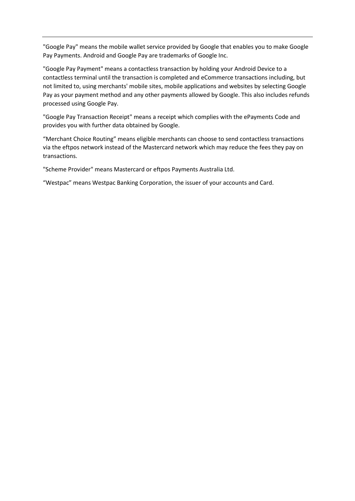"Google Pay" means the mobile wallet service provided by Google that enables you to make Google Pay Payments. Android and Google Pay are trademarks of Google Inc.

"Google Pay Payment" means a contactless transaction by holding your Android Device to a contactless terminal until the transaction is completed and eCommerce transactions including, but not limited to, using merchants' mobile sites, mobile applications and websites by selecting Google Pay as your payment method and any other payments allowed by Google. This also includes refunds processed using Google Pay.

"Google Pay Transaction Receipt" means a receipt which complies with the ePayments Code and provides you with further data obtained by Google.

"Merchant Choice Routing" means eligible merchants can choose to send contactless transactions via the eftpos network instead of the Mastercard network which may reduce the fees they pay on transactions.

"Scheme Provider" means Mastercard or eftpos Payments Australia Ltd.

"Westpac" means Westpac Banking Corporation, the issuer of your accounts and Card.